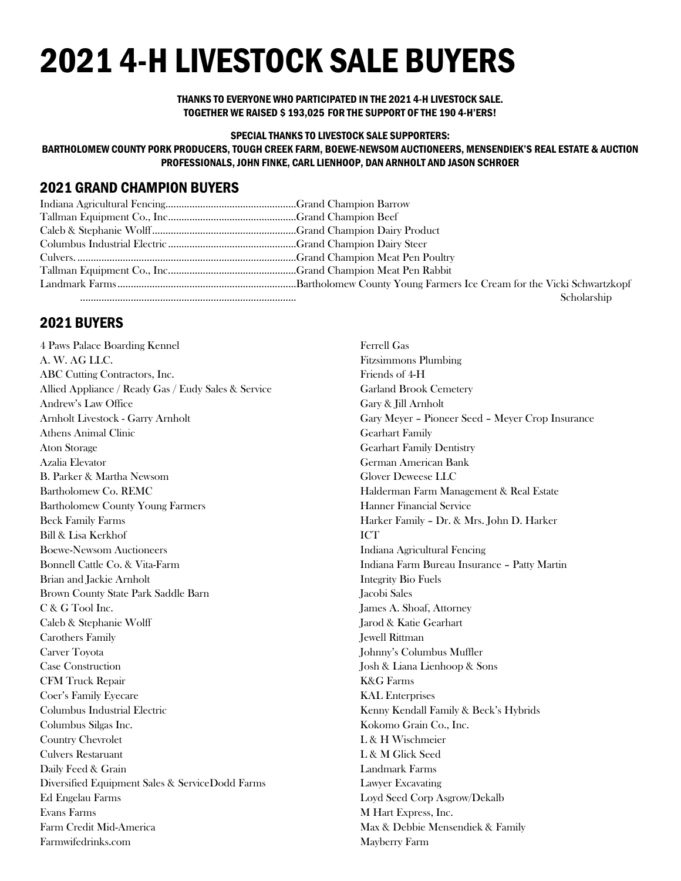# 2021 4-H LIVESTOCK SALE BUYERS

THANKS TO EVERYONE WHO PARTICIPATED IN THE 2021 4-H LIVESTOCK SALE. TOGETHER WE RAISED \$ 193,025 FOR THE SUPPORT OF THE 190 4-H'ERS!

SPECIAL THANKS TO LIVESTOCK SALE SUPPORTERS: BARTHOLOMEW COUNTY PORK PRODUCERS, TOUGH CREEK FARM, BOEWE-NEWSOM AUCTIONEERS, MENSENDIEK'S REAL ESTATE & AUCTION

PROFESSIONALS, JOHN FINKE, CARL LIENHOOP, DAN ARNHOLT AND JASON SCHROER

## 2021 GRAND CHAMPION BUYERS

| Scholarship |
|-------------|

### 2021 BUYERS

4 Paws Palace Boarding Kennel A. W. AG LLC. ABC Cutting Contractors, Inc. Allied Appliance / Ready Gas / Eudy Sales & Service Andrew's Law Office Arnholt Livestock - Garry Arnholt Athens Animal Clinic Aton Storage Azalia Elevator B. Parker & Martha Newsom Bartholomew Co. REMC Bartholomew County Young Farmers Beck Family Farms Bill & Lisa Kerkhof Boewe-Newsom Auctioneers Bonnell Cattle Co. & Vita-Farm Brian and Jackie Arnholt Brown County State Park Saddle Barn C & G Tool Inc. Caleb & Stephanie Wolff Carothers Family Carver Toyota Case Construction CFM Truck Repair Coer's Family Eyecare Columbus Industrial Electric Columbus Silgas Inc. Country Chevrolet Culvers Restaruant Daily Feed & Grain Diversified Equipment Sales & ServiceDodd Farms Ed Engelau Farms Evans Farms Farm Credit Mid-America Farmwifedrinks.com

Ferrell Gas Fitzsimmons Plumbing Friends of 4-H Garland Brook Cemetery Gary & Jill Arnholt Gary Meyer – Pioneer Seed – Meyer Crop Insurance Gearhart Family Gearhart Family Dentistry German American Bank Glover Deweese LLC Halderman Farm Management & Real Estate Hanner Financial Service Harker Family – Dr. & Mrs. John D. Harker ICT Indiana Agricultural Fencing Indiana Farm Bureau Insurance – Patty Martin Integrity Bio Fuels Jacobi Sales James A. Shoaf, Attorney Jarod & Katie Gearhart Jewell Rittman Johnny's Columbus Muffler Josh & Liana Lienhoop & Sons K&G Farms KAL Enterprises Kenny Kendall Family & Beck's Hybrids Kokomo Grain Co., Inc. L & H Wischmeier L & M Glick Seed Landmark Farms Lawyer Excavating Loyd Seed Corp Asgrow/Dekalb M Hart Express, Inc. Max & Debbie Mensendiek & Family Mayberry Farm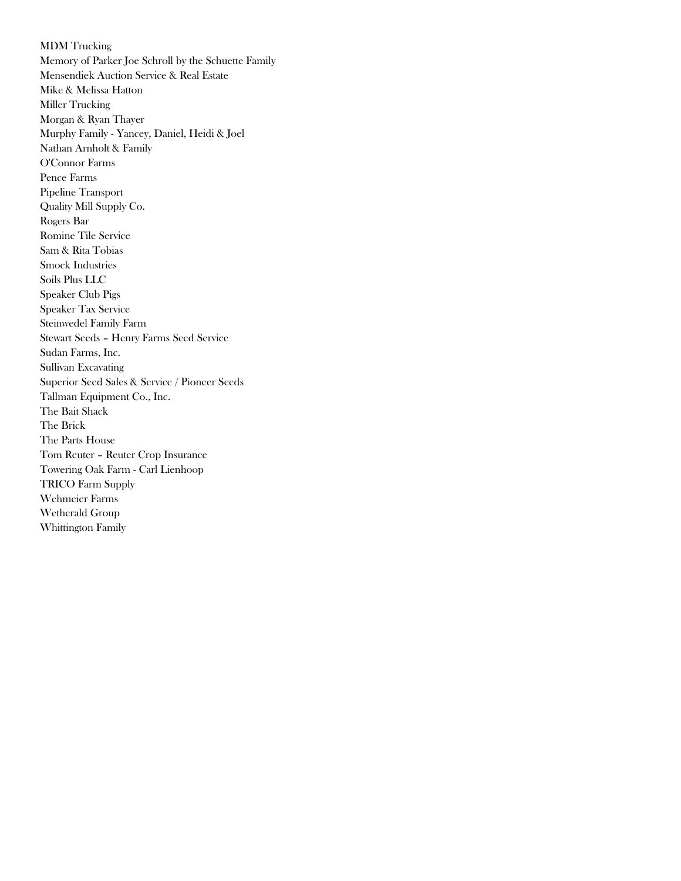MDM Trucking Memory of Parker Joe Schroll by the Schuette Family Mensendiek Auction Service & Real Estate Mike & Melissa Hatton Miller Trucking Morgan & Ryan Thayer Murphy Family - Yancey, Daniel, Heidi & Joel Nathan Arnholt & Family O'Connor Farms Pence Farms Pipeline Transport Quality Mill Supply Co. Rogers Bar Romine Tile Service Sam & Rita Tobias Smock Industries Soils Plus LLC Speaker Club Pigs Speaker Tax Service Steinwedel Family Farm Stewart Seeds – Henry Farms Seed Service Sudan Farms, Inc. Sullivan Excavating Superior Seed Sales & Service / Pioneer Seeds Tallman Equipment Co., Inc. The Bait Shack The Brick The Parts House Tom Reuter – Reuter Crop Insurance Towering Oak Farm - Carl Lienhoop TRICO Farm Supply Wehmeier Farms Wetherald Group Whittington Family